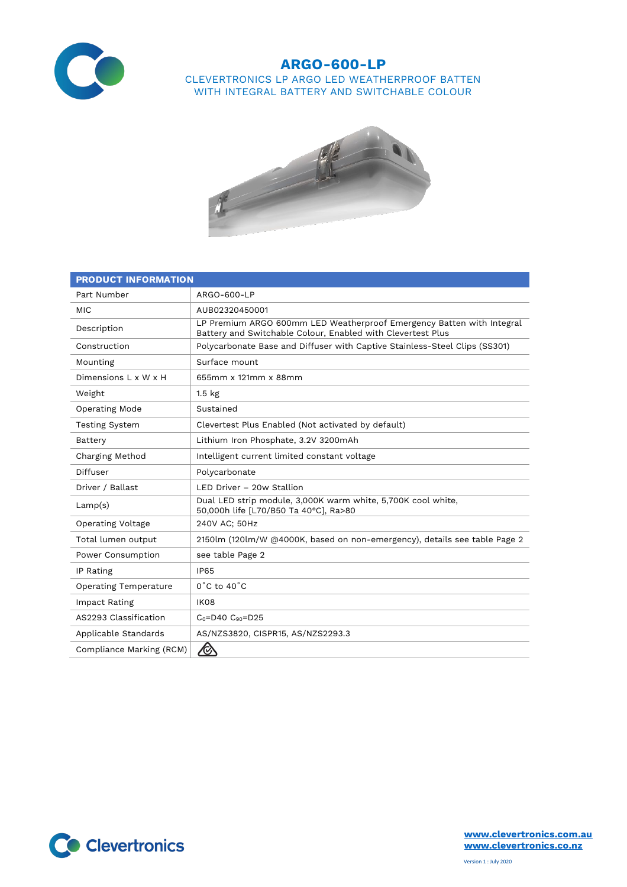

## **ARGO-600-LP** CLEVERTRONICS LP ARGO LED WEATHERPROOF BATTEN WITH INTEGRAL BATTERY AND SWITCHABLE COLOUR



| <b>PRODUCT INFORMATION</b>   |                                                                                                                                      |  |  |
|------------------------------|--------------------------------------------------------------------------------------------------------------------------------------|--|--|
| Part Number                  | ARGO-600-LP                                                                                                                          |  |  |
| <b>MIC</b>                   | AUB02320450001                                                                                                                       |  |  |
| Description                  | LP Premium ARGO 600mm LED Weatherproof Emergency Batten with Integral<br>Battery and Switchable Colour, Enabled with Clevertest Plus |  |  |
| Construction                 | Polycarbonate Base and Diffuser with Captive Stainless-Steel Clips (SS301)                                                           |  |  |
| Mounting                     | Surface mount                                                                                                                        |  |  |
| Dimensions L x W x H         | 655mm x 121mm x 88mm                                                                                                                 |  |  |
| Weight                       | 1.5 <sub>kg</sub>                                                                                                                    |  |  |
| Operating Mode               | Sustained                                                                                                                            |  |  |
| <b>Testing System</b>        | Clevertest Plus Enabled (Not activated by default)                                                                                   |  |  |
| Battery                      | Lithium Iron Phosphate, 3.2V 3200mAh                                                                                                 |  |  |
| Charging Method              | Intelligent current limited constant voltage                                                                                         |  |  |
| Diffuser                     | Polycarbonate                                                                                                                        |  |  |
| Driver / Ballast             | LED Driver - 20w Stallion                                                                                                            |  |  |
| Lamp(s)                      | Dual LED strip module, 3,000K warm white, 5,700K cool white,<br>50,000h life [L70/B50 Ta 40°C], Ra>80                                |  |  |
| <b>Operating Voltage</b>     | 240V AC: 50Hz                                                                                                                        |  |  |
| Total lumen output           | 2150lm (120lm/W @4000K, based on non-emergency), details see table Page 2                                                            |  |  |
| Power Consumption            | see table Page 2                                                                                                                     |  |  |
| IP Rating                    | <b>IP65</b>                                                                                                                          |  |  |
| <b>Operating Temperature</b> | $0^{\circ}$ C to 40 $^{\circ}$ C                                                                                                     |  |  |
| Impact Rating                | IK08                                                                                                                                 |  |  |
| AS2293 Classification        | $C_0 = D40$ $C_{90} = D25$                                                                                                           |  |  |
| Applicable Standards         | AS/NZS3820, CISPR15, AS/NZS2293.3                                                                                                    |  |  |
| Compliance Marking (RCM)     | $\bigotimes$                                                                                                                         |  |  |